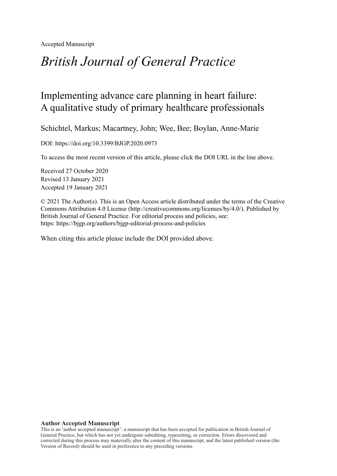Accepted Manuscript

# *British Journal of General Practice*

## Implementing advance care planning in heart failure: A qualitative study of primary healthcare professionals

Schichtel, Markus; Macartney, John; Wee, Bee; Boylan, Anne-Marie

DOI: https://doi.org/10.3399/BJGP.2020.0973

To access the most recent version of this article, please click the DOI URL in the line above.

Received 27 October 2020 Revised 13 January 2021 Accepted 19 January 2021

© 2021 The Author(s). This is an Open Access article distributed under the terms of the Creative Commons Attribution 4.0 License [\(http://creativecommons.org/licenses/by/4.0/](http://creativecommons.org/licenses/by/4.0/)). Published by British Journal of General Practice. For editorial process and policies, see: https: <https://bjgp.org/authors/bjgp-editorial-process-and-policies>

When citing this article please include the DOI provided above.

#### **Author Accepted Manuscript**

This is an 'author accepted manuscript': a manuscript that has been accepted for publication in British Journal of General Practice, but which has not yet undergone subediting, typesetting, or correction. Errors discovered and corrected during this process may materially alter the content of this manuscript, and the latest published version (the Version of Record) should be used in preference to any preceding versions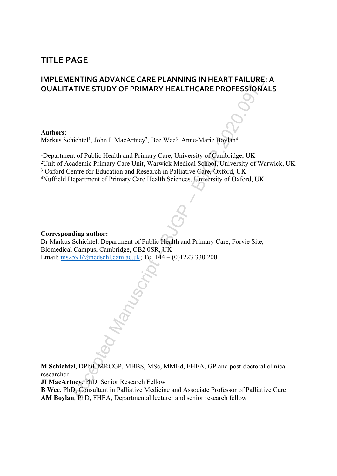### **TITLE PAGE**

### **IMPLEMENTING ADVANCE CARE PLANNING IN HEART FAILURE: A QUALITATIVE STUDY OF PRIMARY HEALTHCARE PROFESSIONALS**

**Authors**:

Markus Schichtel<sup>1</sup>, John I. MacArtney<sup>2</sup>, Bee Wee<sup>3</sup>, Anne-Marie Boylan<sup>4</sup>

ENTING ADVANCE CARE PLANNING IN HEART FAILURE:<br>ATIVE STUDY OF PRIMARY HEALTHCARE PROFESSIONAL<br>
Hichel!, John I. MacArtney?, Bee Wee!, Ame-Marie Boylan<sup>4</sup><br>
at of Public Health and Primary Care, University of Cambridge, UK<br> <sup>1</sup>Department of Public Health and Primary Care, University of Cambridge, UK <sup>2</sup>Unit of Academic Primary Care Unit, Warwick Medical School, University of Warwick, UK <sup>3</sup> Oxford Centre for Education and Research in Palliative Care, Oxford, UK <sup>4</sup>Nuffield Department of Primary Care Health Sciences, University of Oxford, UK

#### **Corresponding author:**

Dr Markus Schichtel, Department of Public Health and Primary Care, Forvie Site, Biomedical Campus, Cambridge, CB2 0SR, UK Email: ms2591@medschl.cam.ac.uk; Tel +44 – (0)1223 330 200

**M Schichtel**, DPhil, MRCGP, MBBS, MSc, MMEd, FHEA, GP and post-doctoral clinical researcher

**JI MacArtney**, PhD, Senior Research Fellow

**B Wee,** PhD, Consultant in Palliative Medicine and Associate Professor of Palliative Care **AM Boylan**, PhD, FHEA, Departmental lecturer and senior research fellow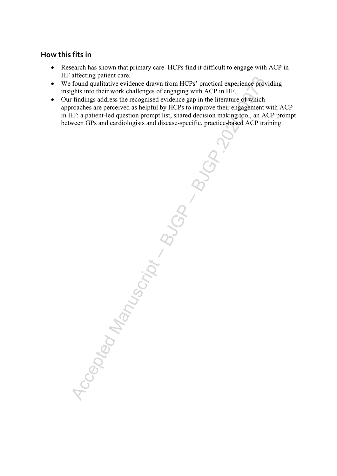### **How this fits in**

- Research has shown that primary care HCPs find it difficult to engage with ACP in HF affecting patient care.
- We found qualitative evidence drawn from HCPs' practical experience providing insights into their work challenges of engaging with ACP in HF.
- Our findings address the recognised evidence gap in the literature of which approaches are perceived as helpful by HCPs to improve their engagement with ACP in HF: a patient-led question prompt list, shared decision making tool, an ACP prompt between GPs and cardiologists and disease-specific, practice-based ACP training.

Accepted Manuscript – BJGP.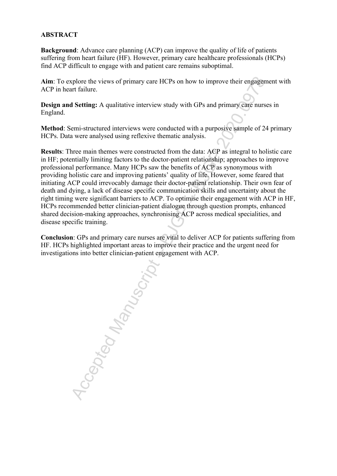#### **ABSTRACT**

**Background**: Advance care planning (ACP) can improve the quality of life of patients suffering from heart failure (HF). However, primary care healthcare professionals (HCPs) find ACP difficult to engage with and patient care remains suboptimal.

**Aim**: To explore the views of primary care HCPs on how to improve their engagement with ACP in heart failure.

**Design and Setting:** A qualitative interview study with GPs and primary care nurses in England.

**Method**: Semi-structured interviews were conducted with a purposive sample of 24 primary HCPs. Data were analysed using reflexive thematic analysis.

Replace the views of primary earc HCPs on how to improve their engagement failure.<br>
A Setting: A qualitative interview study with GPs and primary eare nurses<br>
ermi-structured interviews were conducted with a purposive samp **Results**: Three main themes were constructed from the data: ACP as integral to holistic care in HF; potentially limiting factors to the doctor-patient relationship; approaches to improve professional performance. Many HCPs saw the benefits of ACP as synonymous with providing holistic care and improving patients' quality of life. However, some feared that initiating ACP could irrevocably damage their doctor-patient relationship. Their own fear of death and dying, a lack of disease specific communication skills and uncertainty about the right timing were significant barriers to ACP. To optimise their engagement with ACP in HF, HCPs recommended better clinician-patient dialogue through question prompts, enhanced shared decision-making approaches, synchronising ACP across medical specialities, and disease specific training.

**Conclusion**: GPs and primary care nurses are vital to deliver ACP for patients suffering from HF. HCPs highlighted important areas to improve their practice and the urgent need for investigations into better clinician-patient engagement with ACP.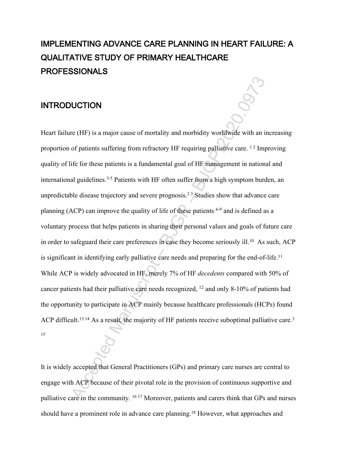# **IMPLEMENTING ADVANCE CARE PLANNING IN HEART FAILURE: A QUALITATIVE STUDY OF PRIMARY HEALTHCARE PROFESSIONALS**

### **INTRODUCTION**

**IUCTION**<br>
THET IS a major cause of mortality and morbidity worldwide with an interference surfering from refractory HF requiring palliative care.<sup>12</sup> Imprific for these patients is a fundamental goal of HF management in Heart failure (HF) is a major cause of mortality and morbidity worldwide with an increasing proportion of patients suffering from refractory HF requiring palliative care.  $12$  Improving quality of life for these patients is a fundamental goal of HF management in national and international guidelines.3-5 Patients with HF often suffer from a high symptom burden, an unpredictable disease trajectory and severe prognosis.<sup>23</sup> Studies show that advance care planning (ACP) can improve the quality of life of these patients 6-9 and is defined as a voluntary process that helps patients in sharing their personal values and goals of future care in order to safeguard their care preferences in case they become seriously ill.<sup>10</sup> As such, ACP is significant in identifying early palliative care needs and preparing for the end-of-life.<sup>11</sup> While ACP is widely advocated in HF, merely 7% of HF *decedents* compared with 50% of cancer patients had their palliative care needs recognized, <sup>12</sup> and only 8-10% of patients had the opportunity to participate in ACP mainly because healthcare professionals (HCPs) found ACP difficult.<sup>13 14</sup> As a result, the majority of HF patients receive suboptimal palliative care.<sup>3</sup> 15

It is widely accepted that General Practitioners (GPs) and primary care nurses are central to engage with ACP because of their pivotal role in the provision of continuous supportive and palliative care in the community. 16 17 Moreover, patients and carers think that GPs and nurses should have a prominent role in advance care planning.18 However, what approaches and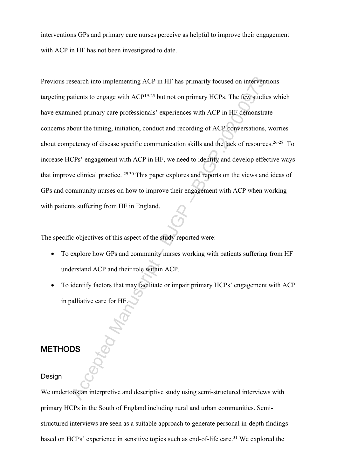interventions GPs and primary care nurses perceive as helpful to improve their engagement with ACP in HF has not been investigated to date.

Search into implementing ACP in HF has primarily focused on interventiations to engage with ACP<sup>19.25</sup> but not on primary HCPs. The few studies<br>tined primary care professionals' experiences with ACP in HF demonstrate<br>bout Previous research into implementing ACP in HF has primarily focused on interventions targeting patients to engage with ACP19-25 but not on primary HCPs. The few studies which have examined primary care professionals' experiences with ACP in HF demonstrate concerns about the timing, initiation, conduct and recording of ACP conversations, worries about competency of disease specific communication skills and the lack of resources.26-28 To increase HCPs' engagement with ACP in HF, we need to identify and develop effective ways that improve clinical practice. 29 30 This paper explores and reports on the views and ideas of GPs and community nurses on how to improve their engagement with ACP when working with patients suffering from HF in England.

The specific objectives of this aspect of the study reported were:

- To explore how GPs and community nurses working with patients suffering from HF understand ACP and their role within ACP.
- To identify factors that may facilitate or impair primary HCPs' engagement with ACP in palliative care for HF.

### **METHODS**

#### Design

We undertook an interpretive and descriptive study using semi-structured interviews with primary HCPs in the South of England including rural and urban communities. Semistructured interviews are seen as a suitable approach to generate personal in-depth findings based on HCPs' experience in sensitive topics such as end-of-life care.<sup>31</sup> We explored the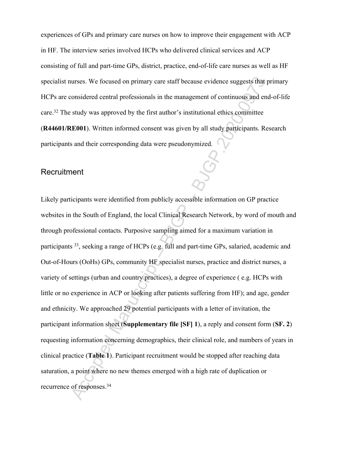experiences of GPs and primary care nurses on how to improve their engagement with ACP in HF. The interview series involved HCPs who delivered clinical services and ACP consisting of full and part-time GPs, district, practice, end-of-life care nurses as well as HF specialist nurses. We focused on primary care staff because evidence suggests that primary HCPs are considered central professionals in the management of continuous and end-of-life care.<sup>32</sup> The study was approved by the first author's institutional ethics committee

(**R44601/RE001**). Written informed consent was given by all study participants. Research participants and their corresponding data were pseudonymized.

#### **Recruitment**

urses. We focused on primary eare staff because evidence suggests that prosidered central professionals in the management of continuous and end<br>study was approved by the first author's institutional ethics committee<br>EE001) Likely participants were identified from publicly accessible information on GP practice websites in the South of England, the local Clinical Research Network, by word of mouth and through professional contacts. Purposive sampling aimed for a maximum variation in participants <sup>33</sup>, seeking a range of HCPs (e.g. full and part-time GPs, salaried, academic and Out-of-Hours (OoHs) GPs, community HF specialist nurses, practice and district nurses, a variety of settings (urban and country practices), a degree of experience ( e.g. HCPs with little or no experience in ACP or looking after patients suffering from HF); and age, gender and ethnicity. We approached 29 potential participants with a letter of invitation, the participant information sheet (**Supplementary file [SF] 1**), a reply and consent form (**SF. 2**) requesting information concerning demographics, their clinical role, and numbers of years in clinical practice (**Table 1**). Participant recruitment would be stopped after reaching data saturation, a point where no new themes emerged with a high rate of duplication or recurrence of responses.34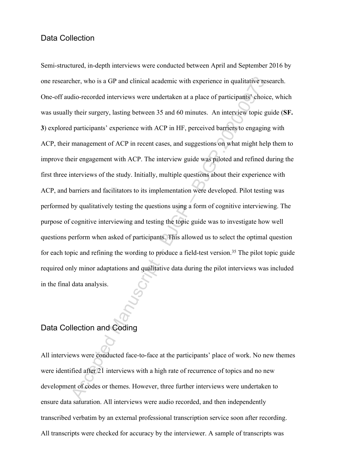#### Data Collection

ther, who is a GP and clinical academic with experience in qualitative restration-<br>
edio-recorded interviews were undertaken at a place of participants' choice<br>
whoir surgery, lasting between 35 and 60 minutes. An intervie Semi-structured, in-depth interviews were conducted between April and September 2016 by one researcher, who is a GP and clinical academic with experience in qualitative research. One-off audio-recorded interviews were undertaken at a place of participants' choice, which was usually their surgery, lasting between 35 and 60 minutes. An interview topic guide (**SF. 3**) explored participants' experience with ACP in HF, perceived barriers to engaging with ACP, their management of ACP in recent cases, and suggestions on what might help them to improve their engagement with ACP. The interview guide was piloted and refined during the first three interviews of the study. Initially, multiple questions about their experience with ACP, and barriers and facilitators to its implementation were developed. Pilot testing was performed by qualitatively testing the questions using a form of cognitive interviewing. The purpose of cognitive interviewing and testing the topic guide was to investigate how well questions perform when asked of participants. This allowed us to select the optimal question for each topic and refining the wording to produce a field-test version.<sup>35</sup> The pilot topic guide required only minor adaptations and qualitative data during the pilot interviews was included in the final data analysis.

### Data Collection and Coding

All interviews were conducted face-to-face at the participants' place of work. No new themes were identified after 21 interviews with a high rate of recurrence of topics and no new development of codes or themes. However, three further interviews were undertaken to ensure data saturation. All interviews were audio recorded, and then independently transcribed verbatim by an external professional transcription service soon after recording. All transcripts were checked for accuracy by the interviewer. A sample of transcripts was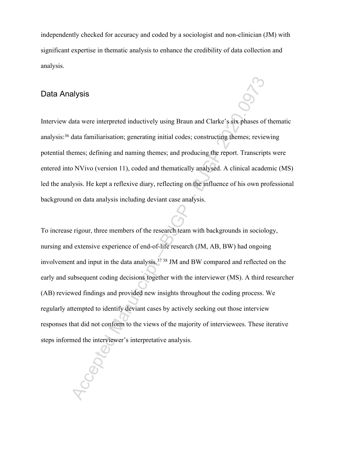independently checked for accuracy and coded by a sociologist and non-clinician (JM) with significant expertise in thematic analysis to enhance the credibility of data collection and analysis.

#### Data Analysis

Interview data were interpreted inductively using Braun and Clarke's six phases of thematic analysis:<sup>36</sup> data familiarisation; generating initial codes; constructing themes; reviewing potential themes; defining and naming themes; and producing the report. Transcripts were entered into NVivo (version 11), coded and thematically analysed. A clinical academic (MS) led the analysis. He kept a reflexive diary, reflecting on the influence of his own professional background on data analysis including deviant case analysis.

Acception<br>
Acception and Clarke's six-phases of the distance interpreted inductively using Braun and Clarke's six-phases of the distant familiarisation; generating initial codes; constructing themes; review<br>
Lemens; defini To increase rigour, three members of the research team with backgrounds in sociology, nursing and extensive experience of end-of-life research (JM, AB, BW) had ongoing involvement and input in the data analysis.37 38 JM and BW compared and reflected on the early and subsequent coding decisions together with the interviewer (MS). A third researcher (AB) reviewed findings and provided new insights throughout the coding process. We regularly attempted to identify deviant cases by actively seeking out those interview responses that did not conform to the views of the majority of interviewees. These iterative steps informed the interviewer's interpretative analysis.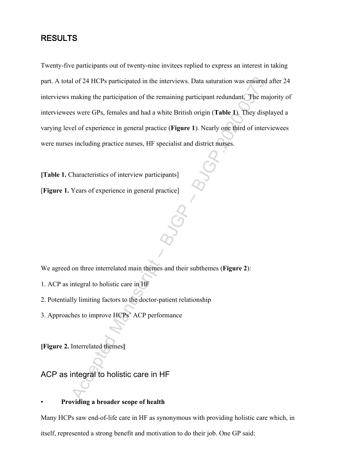### **RESULTS**

Accepted Manuscript – BJGP.<br>
Accepted Manuscript – BJGP and the interviews. Data saturation was ensured a<br>
making the participation of the remaining participant redundant. The majus were GPs, fixmales and had a white Briti Twenty-five participants out of twenty-nine invitees replied to express an interest in taking part. A total of 24 HCPs participated in the interviews. Data saturation was ensured after 24 interviews making the participation of the remaining participant redundant. The majority of interviewees were GPs, females and had a white British origin (**Table 1**). They displayed a varying level of experience in general practice (**Figure 1**). Nearly one third of interviewees were nurses including practice nurses, HF specialist and district nurses.

**[Table 1.** Characteristics of interview participants]

[**Figure 1.** Years of experience in general practice]

We agreed on three interrelated main themes and their subthemes (**Figure 2**):

- 1. ACP as integral to holistic care in HF
- 2. Potentially limiting factors to the doctor-patient relationship
- 3. Approaches to improve HCPs' ACP performance

**[Figure 2.** Interrelated themes**]**

ACP as integral to holistic care in HF

#### • **Providing a broader scope of health**

Many HCPs saw end-of-life care in HF as synonymous with providing holistic care which, in itself, represented a strong benefit and motivation to do their job. One GP said: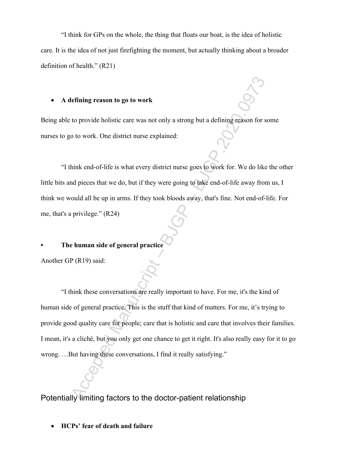"I think for GPs on the whole, the thing that floats our boat, is the idea of holistic care. It is the idea of not just firefighting the moment, but actually thinking about a broader definition of health." (R21)

#### **A defining reason to go to work**

Being able to provide holistic care was not only a strong but a defining reason for some nurses to go to work. One district nurse explained:

"I think end-of-life is what every district nurse goes to work for. We do like the other little bits and pieces that we do, but if they were going to take end-of-life away from us, I think we would all be up in arms. If they took bloods away, that's fine. Not end-of-life. For me, that's a privilege." (R24)

#### **• The human side of general practice**

Another GP (R19) said:

The strained Manuscript – Bay and the decision for so to work.<br>
Accept the decision for so to work. One district nurse explained:<br>
Accept and a defining reason for so to work. One district nurse explained:<br>
Accept and piec "I think these conversations are really important to have. For me, it's the kind of human side of general practice. This is the stuff that kind of matters. For me, it's trying to provide good quality care for people; care that is holistic and care that involves their families. I mean, it's a cliché, but you only get one chance to get it right. It's also really easy for it to go wrong. …But having these conversations, I find it really satisfying."

Potentially limiting factors to the doctor-patient relationship

**HCPs' fear of death and failure**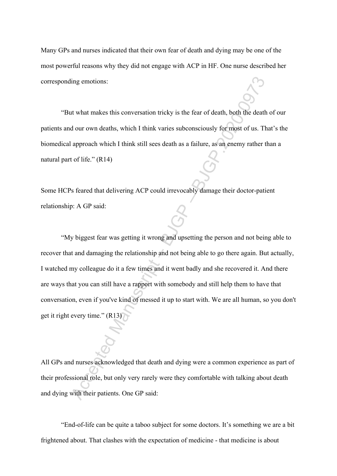Many GPs and nurses indicated that their own fear of death and dying may be one of the most powerful reasons why they did not engage with ACP in HF. One nurse described her corresponding emotions:

"But what makes this conversation tricky is the fear of death, both the death of our patients and our own deaths, which I think varies subconsciously for most of us. That's the biomedical approach which I think still sees death as a failure, as an enemy rather than a natural part of life." (R14)

Some HCPs feared that delivering ACP could irrevocably damage their doctor-patient relationship: A GP said:

The state of the state of the state of the state of the state of the state of the state of the state of the state of the state of the state of the state of the state of the state of the state of the state of the state of t "My biggest fear was getting it wrong and upsetting the person and not being able to recover that and damaging the relationship and not being able to go there again. But actually, I watched my colleague do it a few times and it went badly and she recovered it. And there are ways that you can still have a rapport with somebody and still help them to have that conversation, even if you've kind of messed it up to start with. We are all human, so you don't get it right every time." (R13)

All GPs and nurses acknowledged that death and dying were a common experience as part of their professional role, but only very rarely were they comfortable with talking about death and dying with their patients. One GP said:

"End-of-life can be quite a taboo subject for some doctors. It's something we are a bit frightened about. That clashes with the expectation of medicine - that medicine is about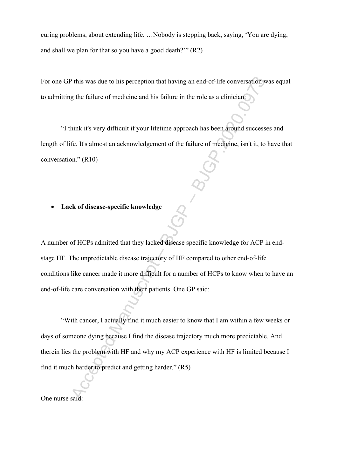curing problems, about extending life. …Nobody is stepping back, saying, 'You are dying, and shall we plan for that so you have a good death?'" (R2)

For one GP this was due to his perception that having an end-of-life conversation was equal to admitting the failure of medicine and his failure in the role as a clinician:

"I think it's very difficult if your lifetime approach has been around successes and length of life. It's almost an acknowledgement of the failure of medicine, isn't it, to have that conversation." (R10)

#### **Lack of disease-specific knowledge**

A number of HCPs admitted that they lacked disease specific knowledge for ACP in endstage HF. The unpredictable disease trajectory of HF compared to other end-of-life conditions like cancer made it more difficult for a number of HCPs to know when to have an end-of-life care conversation with their patients. One GP said:

Pulsi was due to his perception that having an end-of-life conversation was due to his perception and his failure in the role as a cliniciant.<br>
Hink it's very difficult if your lifetime approach has been around successes.<br> "With cancer, I actually find it much easier to know that I am within a few weeks or days of someone dying because I find the disease trajectory much more predictable. And therein lies the problem with HF and why my ACP experience with HF is limited because I find it much harder to predict and getting harder." (R5)

One nurse said: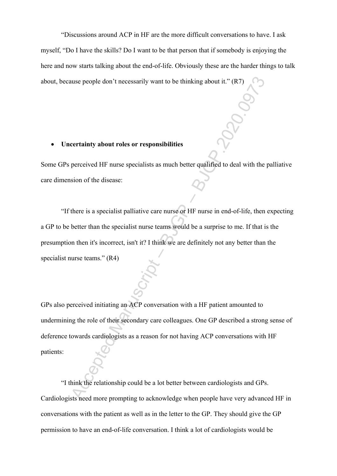"Discussions around ACP in HF are the more difficult conversations to have. I ask myself, "Do I have the skills? Do I want to be that person that if somebody is enjoying the here and now starts talking about the end-of-life. Obviously these are the harder things to talk about, because people don't necessarily want to be thinking about it." (R7)

#### **Uncertainty about roles or responsibilities**

Some GPs perceived HF nurse specialists as much better qualified to deal with the palliative care dimension of the disease:

"If there is a specialist palliative care nurse or HF nurse in end-of-life, then expecting a GP to be better than the specialist nurse teams would be a surprise to me. If that is the presumption then it's incorrect, isn't it? I think we are definitely not any better than the specialist nurse teams." (R4)

the propic don't necessarily want to be thinking about it." (R7)<br> **Containing about roles or responsibilities**<br>
perceived HF nurse specialists as much better qualified to deal with the position of the disease:<br>
there is a GPs also perceived initiating an ACP conversation with a HF patient amounted to undermining the role of their secondary care colleagues. One GP described a strong sense of deference towards cardiologists as a reason for not having ACP conversations with HF patients:

"I think the relationship could be a lot better between cardiologists and GPs. Cardiologists need more prompting to acknowledge when people have very advanced HF in conversations with the patient as well as in the letter to the GP. They should give the GP permission to have an end-of-life conversation. I think a lot of cardiologists would be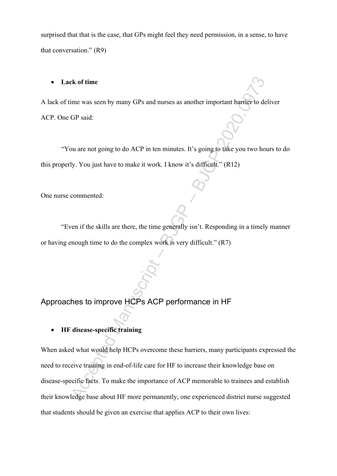surprised that that is the case, that GPs might feel they need permission, in a sense, to have that conversation." (R9)

#### **Lack of time**

A lack of time was seen by many GPs and nurses as another important barrier to deliver ACP. One GP said:

"You are not going to do ACP in ten minutes. It's going to take you two hours to do this properly. You just have to make it work. I know it's difficult." (R12)

One nurse commented:

"Even if the skills are there, the time generally isn't. Responding in a timely manner or having enough time to do the complex work is very difficult." (R7)

### Approaches to improve HCPs ACP performance in HF

**HF disease-specific training** 

Exercise was seen by many GPs and nurses as another important barrier to deli<br>
GP said:<br>
Ou are not going to do ACP in ten minutes. It's going to take you two hours<br>
by. You just have to make it work. I know it's difficult When asked what would help HCPs overcome these barriers, many participants expressed the need to receive training in end-of-life care for HF to increase their knowledge base on disease-specific facts. To make the importance of ACP memorable to trainees and establish their knowledge base about HF more permanently, one experienced district nurse suggested that students should be given an exercise that applies ACP to their own lives: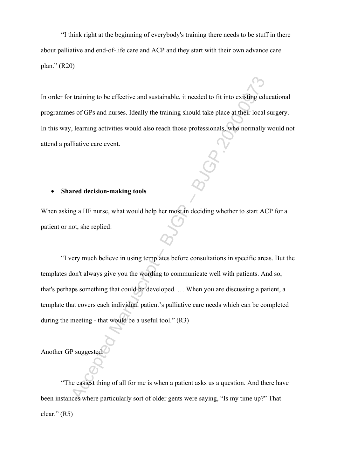"I think right at the beginning of everybody's training there needs to be stuff in there about palliative and end-of-life care and ACP and they start with their own advance care plan." (R20)

In order for training to be effective and sustainable, it needed to fit into existing educational programmes of GPs and nurses. Ideally the training should take place at their local surgery. In this way, learning activities would also reach those professionals, who normally would not attend a palliative care event.

#### **Shared decision-making tools**

When asking a HF nurse, what would help her most in deciding whether to start ACP for a patient or not, she replied:

The training to be effective and sustainable, it needed to fit into existing educts of GPs and nurses. Ideally the training should take place at their local steps (clear of the local steps) which is a large at the training "I very much believe in using templates before consultations in specific areas. But the templates don't always give you the wording to communicate well with patients. And so, that's perhaps something that could be developed. … When you are discussing a patient, a template that covers each individual patient's palliative care needs which can be completed during the meeting - that would be a useful tool." (R3)

Another GP suggested:

"The easiest thing of all for me is when a patient asks us a question. And there have been instances where particularly sort of older gents were saying, "Is my time up?" That clear."  $(R5)$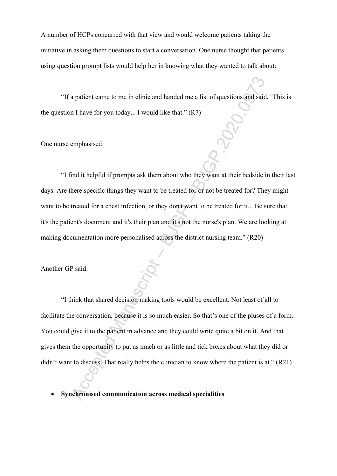A number of HCPs concurred with that view and would welcome patients taking the initiative in asking them questions to start a conversation. One nurse thought that patients using question prompt lists would help her in knowing what they wanted to talk about:

"If a patient came to me in clinic and handed me a list of questions and said, ''This is the question I have for you today... I would like that."  $(R7)$ 

One nurse emphasised:

"I find it helpful if prompts ask them about who they want at their bedside in their last days. Are there specific things they want to be treated for or not be treated for? They might want to be treated for a chest infection, or they don't want to be treated for it... Be sure that it's the patient's document and it's their plan and it's not the nurse's plan. We are looking at making documentation more personalised across the district nursing team." (R20)

Another GP said:

Accelering the meta-<br>
Accelering a state of providing a list of questions and said,<br>
Accelering Manuscript – I would like that." (R7)<br>
Accelering Manuscript – By example and it helpful if prompts ask them about who they wa "I think that shared decision making tools would be excellent. Not least of all to facilitate the conversation, because it is so much easier. So that's one of the pluses of a form. You could give it to the patient in advance and they could write quite a bit on it. And that gives them the opportunity to put as much or as little and tick boxes about what they did or didn't want to discuss. That really helps the clinician to know where the patient is at." (R21)

**Synchronised communication across medical specialities**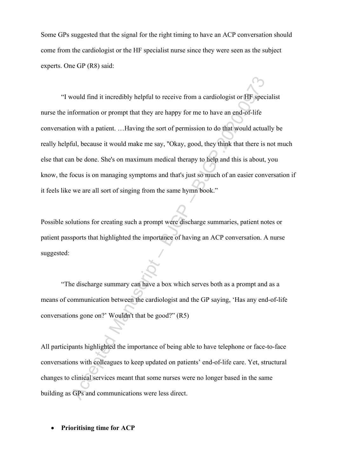Some GPs suggested that the signal for the right timing to have an ACP conversation should come from the cardiologist or the HF specialist nurse since they were seen as the subject experts. One GP (R8) said:

Accel would find it ineredibly helpful to receive from a cardiologist or HP special<br>formation or prompt that they are happy for me to have an end-of-life<br>point in with a patient. ... Having the sort of permission to do tha "I would find it incredibly helpful to receive from a cardiologist or HF specialist nurse the information or prompt that they are happy for me to have an end-of-life conversation with a patient. …Having the sort of permission to do that would actually be really helpful, because it would make me say, ''Okay, good, they think that there is not much else that can be done. She's on maximum medical therapy to help and this is about, you know, the focus is on managing symptoms and that's just so much of an easier conversation if it feels like we are all sort of singing from the same hymn book."

Possible solutions for creating such a prompt were discharge summaries, patient notes or patient passports that highlighted the importance of having an ACP conversation. A nurse suggested:

"The discharge summary can have a box which serves both as a prompt and as a means of communication between the cardiologist and the GP saying, 'Has any end-of-life conversations gone on?' Wouldn't that be good?" (R5)

All participants highlighted the importance of being able to have telephone or face-to-face conversations with colleagues to keep updated on patients' end-of-life care. Yet, structural changes to clinical services meant that some nurses were no longer based in the same building as GPs and communications were less direct.

**Prioritising time for ACP**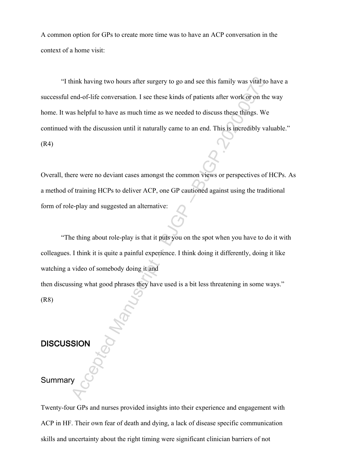A common option for GPs to create more time was to have an ACP conversation in the context of a home visit:

Accept that having two hours after surgery to go and see this family was vital to end-of-life conversation. I see these kinds of patients after work or on the as helpful to have as much time as we needed to discuss these t "I think having two hours after surgery to go and see this family was vital to have a successful end-of-life conversation. I see these kinds of patients after work or on the way home. It was helpful to have as much time as we needed to discuss these things. We continued with the discussion until it naturally came to an end. This is incredibly valuable." (R4)

Overall, there were no deviant cases amongst the common views or perspectives of HCPs. As a method of training HCPs to deliver ACP, one GP cautioned against using the traditional form of role-play and suggested an alternative:

"The thing about role-play is that it puts you on the spot when you have to do it with colleagues. I think it is quite a painful experience. I think doing it differently, doing it like watching a video of somebody doing it and

then discussing what good phrases they have used is a bit less threatening in some ways."

(R8)

### **DISCUSSION**

#### Summary

Twenty-four GPs and nurses provided insights into their experience and engagement with ACP in HF. Their own fear of death and dying, a lack of disease specific communication skills and uncertainty about the right timing were significant clinician barriers of not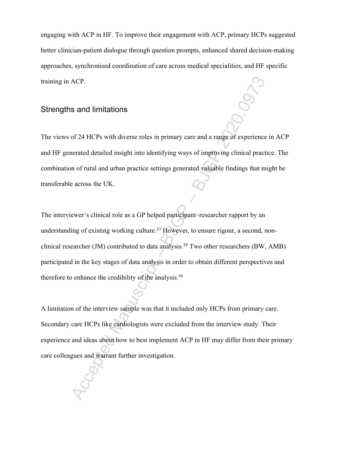engaging with ACP in HF. To improve their engagement with ACP, primary HCPs suggested better clinician-patient dialogue through question prompts, enhanced shared decision-making approaches, synchronised coordination of care across medical specialities, and HF specific training in ACP.

### Strengths and limitations

The views of 24 HCPs with diverse roles in primary care and a range of experience in ACP and HF generated detailed insight into identifying ways of improving clinical practice. The combination of rural and urban practice settings generated valuable findings that might be transferable across the UK.

ACP.<br>
S and limitations<br>
of 24 HCPs with diverse roles in primary care and a range of experience in<br>
encated detailed insight into identifying ways of improving clinical practic<br>
on of rural and urban practice settings ge The interviewer's clinical role as a GP helped participant–researcher rapport by an understanding of existing working culture.<sup>37</sup> However, to ensure rigour, a second, nonclinical researcher (JM) contributed to data analysis.<sup>38</sup> Two other researchers (BW, AMB) participated in the key stages of data analysis in order to obtain different perspectives and therefore to enhance the credibility of the analysis.<sup>36</sup>

A limitation of the interview sample was that it included only HCPs from primary care. Secondary care HCPs like cardiologists were excluded from the interview study. Their experience and ideas about how to best implement ACP in HF may differ from their primary care colleagues and warrant further investigation.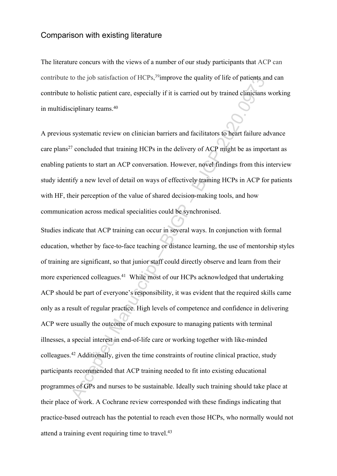### Comparison with existing literature

The literature concurs with the views of a number of our study participants that ACP can contribute to the job satisfaction of HCPs,<sup>39</sup>improve the quality of life of patients and can contribute to holistic patient care, especially if it is carried out by trained clinicians working in multidisciplinary teams.<sup>40</sup>

A previous systematic review on clinician barriers and facilitators to heart failure advance care plans<sup>27</sup> concluded that training HCPs in the delivery of ACP might be as important as enabling patients to start an ACP conversation. However, novel findings from this interview study identify a new level of detail on ways of effectively training HCPs in ACP for patients with HF, their perception of the value of shared decision-making tools, and how communication across medical specialities could be synchronised.

to the job satisfaction of HCPs,<sup>*s*</sup>improve the quality of life of patients and<br>to holistic patient care, especially if it is carried out by trained clinicians v<br>eiplinary teams.<sup>40</sup><br>systematic review on clinician barrie Studies indicate that ACP training can occur in several ways. In conjunction with formal education, whether by face-to-face teaching or distance learning, the use of mentorship styles of training are significant, so that junior staff could directly observe and learn from their more experienced colleagues.<sup>41</sup> While most of our HCPs acknowledged that undertaking ACP should be part of everyone's responsibility, it was evident that the required skills came only as a result of regular practice. High levels of competence and confidence in delivering ACP were usually the outcome of much exposure to managing patients with terminal illnesses, a special interest in end-of-life care or working together with like-minded colleagues.<sup>42</sup> Additionally, given the time constraints of routine clinical practice, study participants recommended that ACP training needed to fit into existing educational programmes of GPs and nurses to be sustainable. Ideally such training should take place at their place of work. A Cochrane review corresponded with these findings indicating that practice-based outreach has the potential to reach even those HCPs, who normally would not attend a training event requiring time to travel.<sup>43</sup>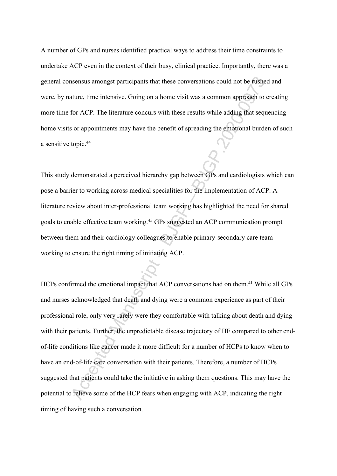A number of GPs and nurses identified practical ways to address their time constraints to undertake ACP even in the context of their busy, clinical practice. Importantly, there was a general consensus amongst participants that these conversations could not be rushed and were, by nature, time intensive. Going on a home visit was a common approach to creating more time for ACP. The literature concurs with these results while adding that sequencing home visits or appointments may have the benefit of spreading the emotional burden of such a sensitive topic.<sup>44</sup>

This study demonstrated a perceived hierarchy gap between GPs and cardiologists which can pose a barrier to working across medical specialities for the implementation of ACP. A literature review about inter-professional team working has highlighted the need for shared goals to enable effective team working.<sup>45</sup> GPs suggested an ACP communication prompt between them and their cardiology colleagues to enable primary-secondary care team working to ensure the right timing of initiating ACP.

Accepted Manuscript – BJGP – BJGP.2020.0973 HCPs confirmed the emotional impact that ACP conversations had on them.<sup>41</sup> While all GPs and nurses acknowledged that death and dying were a common experience as part of their professional role, only very rarely were they comfortable with talking about death and dying with their patients. Further, the unpredictable disease trajectory of HF compared to other endof-life conditions like cancer made it more difficult for a number of HCPs to know when to have an end-of-life care conversation with their patients. Therefore, a number of HCPs suggested that patients could take the initiative in asking them questions. This may have the potential to relieve some of the HCP fears when engaging with ACP, indicating the right timing of having such a conversation.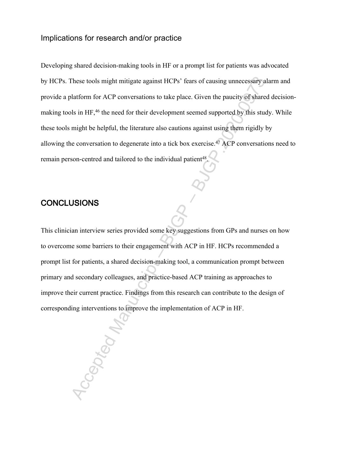### Implications for research and/or practice

These tools might mitigate against HCPs' fears of causing unnecessary ala<br>
alatform for ACP conversations to take place. Given the paucity of shared<br>
bls in HF,<sup>46</sup> thc nccd for their development second supported by this s Developing shared decision-making tools in HF or a prompt list for patients was advocated by HCPs. These tools might mitigate against HCPs' fears of causing unnecessary alarm and provide a platform for ACP conversations to take place. Given the paucity of shared decisionmaking tools in HF,<sup>46</sup> the need for their development seemed supported by this study. While these tools might be helpful, the literature also cautions against using them rigidly by allowing the conversation to degenerate into a tick box exercise.<sup>47</sup> ACP conversations need to remain person-centred and tailored to the individual patient<sup>48</sup>.

### **CONCLUSIONS**

This clinician interview series provided some key suggestions from GPs and nurses on how to overcome some barriers to their engagement with ACP in HF. HCPs recommended a prompt list for patients, a shared decision-making tool, a communication prompt between primary and secondary colleagues, and practice-based ACP training as approaches to improve their current practice. Findings from this research can contribute to the design of corresponding interventions to improve the implementation of ACP in HF.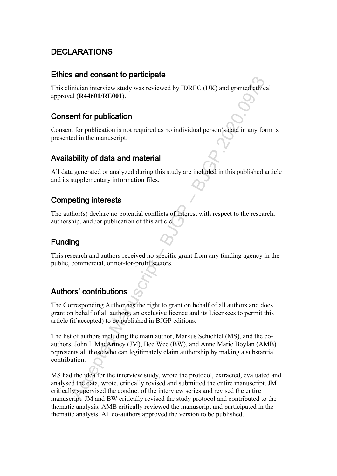### **DECLARATIONS**

### **Ethics and consent to participate**

This clinician interview study was reviewed by IDREC (UK) and granted ethical approval (**R44601/RE001**).

### **Consent for publication**

Consent for publication is not required as no individual person's data in any form is presented in the manuscript.

### **Availability of data and material**

All data generated or analyzed during this study are included in this published article and its supplementary information files.

### **Competing interests**

The author(s) declare no potential conflicts of interest with respect to the research, authorship, and /or publication of this article.

### **Funding**

This research and authors received no specific grant from any funding agency in the public, commercial, or not-for-profit sectors.

### **Authors' contributions**

The Corresponding Author has the right to grant on behalf of all authors and does grant on behalf of all authors, an exclusive licence and its Licensees to permit this article (if accepted) to be published in BJGP editions.

and consider the pearsel by IDREC (UK) and granted ethical<br>including interviews that it (R44601/RE001).<br>
at (R44601/RE001).<br> **Consider Manuscript.**<br>
And the manuscript.<br>
Application is not required as no individual person' The list of authors including the main author, Markus Schichtel (MS), and the coauthors, John I. MacArtney (JM), Bee Wee (BW), and Anne Marie Boylan (AMB) represents all those who can legitimately claim authorship by making a substantial contribution.

MS had the idea for the interview study, wrote the protocol, extracted, evaluated and analysed the data, wrote, critically revised and submitted the entire manuscript. JM critically supervised the conduct of the interview series and revised the entire manuscript. JM and BW critically revised the study protocol and contributed to the thematic analysis. AMB critically reviewed the manuscript and participated in the thematic analysis. All co-authors approved the version to be published.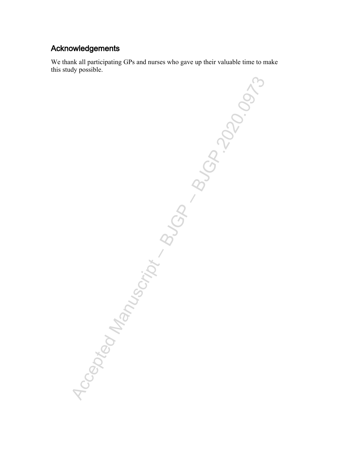### **Acknowledgements**

We thank all participating GPs and nurses who gave up their valuable time to make this study possible.

Accepted Manuscript – Buch – BJGP. 2009-3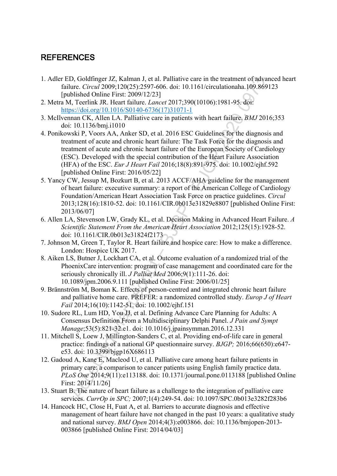### **REFERENCES**

- 1. Adler ED, Goldfinger JZ, Kalman J, et al. Palliative care in the treatment of advanced heart failure. *Circul* 2009;120(25):2597-606. doi: 10.1161/circulationaha.109.869123 [published Online First: 2009/12/23]
- 2. Metra M, Teerlink JR. Heart failure. *Lancet* 2017;390(10106):1981-95. doi: https://doi.org/10.1016/S0140-6736(17)31071-1
- 3. McIlvennan CK, Allen LA. Palliative care in patients with heart failure. *BMJ* 2016;353 doi: 10.1136/bmj.i1010
- 3, Coldinger 7L, Kalman I, et al. Palitair et ear in the treatment of advantations<br>
Ture. *Circui* 2009;120(25):2597-606. doi: 10.1161/circulationals 1.09.869]<br>
blished Online First: 2009/12/23]<br>
1, Territh JR. Heart fai 4. Ponikowski P, Voors AA, Anker SD, et al. 2016 ESC Guidelines for the diagnosis and treatment of acute and chronic heart failure: The Task Force for the diagnosis and treatment of acute and chronic heart failure of the European Society of Cardiology (ESC). Developed with the special contribution of the Heart Failure Association (HFA) of the ESC. *Eur J Heart Fail* 2016;18(8):891-975. doi: 10.1002/ejhf.592 [published Online First: 2016/05/22]
- 5. Yancy CW, Jessup M, Bozkurt B, et al. 2013 ACCF/AHA guideline for the management of heart failure: executive summary: a report of the American College of Cardiology Foundation/American Heart Association Task Force on practice guidelines. *Circul* 2013;128(16):1810-52. doi: 10.1161/CIR.0b013e31829e8807 [published Online First: 2013/06/07]
- 6. Allen LA, Stevenson LW, Grady KL, et al. Decision Making in Advanced Heart Failure. *A Scientific Statement From the American Heart Association* 2012;125(15):1928-52. doi: 10.1161/CIR.0b013e31824f2173
- 7. Johnson M, Green T, Taylor R. Heart failure and hospice care: How to make a difference. London: Hospice UK 2017.
- 8. Aiken LS, Butner J, Lockhart CA, et al. Outcome evaluation of a randomized trial of the PhoenixCare intervention: program of case management and coordinated care for the seriously chronically ill. *J Palliat Med* 2006;9(1):111-26. doi: 10.1089/jpm.2006.9.111 [published Online First: 2006/01/25]
- 9. Brännström M, Boman K. Effects of person-centred and integrated chronic heart failure and palliative home care. PREFER: a randomized controlled study. *Europ J of Heart Fail* 2014;16(10):1142-51. doi: 10.1002/ejhf.151
- 10. Sudore RL, Lum HD, You JJ, et al. Defining Advance Care Planning for Adults: A Consensus Definition From a Multidisciplinary Delphi Panel. *J Pain and Sympt Manage*;53(5):821-32.e1. doi: 10.1016/j.jpainsymman.2016.12.331
- 11. Mitchell S, Loew J, Millington-Sanders C, et al. Providing end-of-life care in general practice: findings of a national GP questionnaire survey. *BJGP;* 2016;66(650):e647 e53. doi: 10.3399/bjgp16X686113
- 12. Gadoud A, Kane E, Macleod U, et al. Palliative care among heart failure patients in primary care: a comparison to cancer patients using English family practice data. *PLoS One* 2014;9(11):e113188. doi: 10.1371/journal.pone.0113188 [published Online First: 2014/11/26]
- 13. Stuart B. The nature of heart failure as a challenge to the integration of palliative care services. *CurrOp in SPC;* 2007;1(4):249-54. doi: 10.1097/SPC.0b013e3282f283b6
- 14. Hancock HC, Close H, Fuat A, et al. Barriers to accurate diagnosis and effective management of heart failure have not changed in the past 10 years: a qualitative study and national survey. *BMJ Open* 2014;4(3):e003866. doi: 10.1136/bmjopen-2013- 003866 [published Online First: 2014/04/03]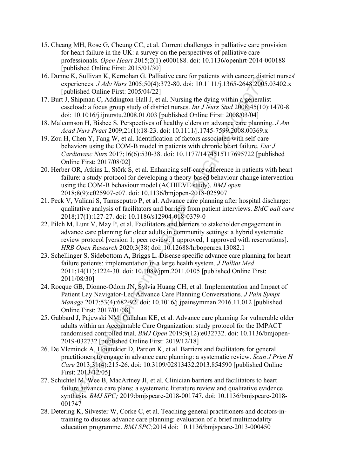- 15. Cheang MH, Rose G, Cheung CC, et al. Current challenges in palliative care provision for heart failure in the UK: a survey on the perspectives of palliative care professionals. *Open Heart* 2015;2(1):e000188. doi: 10.1136/openhrt-2014-000188 [published Online First: 2015/01/30]
- 16. Dunne K, Sullivan K, Kernohan G. Palliative care for patients with cancer: district nurses' experiences. *J Adv Nurs* 2005;50(4):372-80. doi: 10.1111/j.1365-2648.2005.03402.x [published Online First: 2005/04/22]
- 17. Burt J, Shipman C, Addington-Hall J, et al. Nursing the dying within a generalist caseload: a focus group study of district nurses. *Int J Nurs Stud* 2008;45(10):1470-8. doi: 10.1016/j.ijnurstu.2008.01.003 [published Online First: 2008/03/04]
- 18. Malcomson H, Bisbee S. Perspectives of healthy elders on advance care planning. *J Am Acad Nurs Pract* 2009;21(1):18-23. doi: 10.1111/j.1745-7599.2008.00369.x
- 19. Zou H, Chen Y, Fang W, et al. Identification of factors associated with self-care behaviors using the COM-B model in patients with chronic heart failure. *Eur J Cardiovasc Nurs* 2017;16(6):530-38. doi: 10.1177/1474515117695722 [published Online First: 2017/08/02]
- 20. Herber OR, Atkins L, Störk S, et al. Enhancing self-care adherence in patients with heart failure: a study protocol for developing a theory-based behaviour change intervention using the COM-B behaviour model (ACHIEVE study). *BMJ open* 2018;8(9):e025907-e07. doi: 10.1136/bmjopen-2018-025907
- 21. Peck V, Valiani S, Tanuseputro P, et al. Advance care planning after hospital discharge: qualitative analysis of facilitators and barriers from patient interviews. *BMC pall care* 2018;17(1):127-27. doi: 10.1186/s12904-018-0379-0
- 22. Pilch M, Lunt V, May P, et al. Facilitators and barriers to stakeholder engagement in advance care planning for older adults in community settings: a hybrid systematic review protocol [version 1; peer review: 1 approved, 1 approved with reservations]. *HRB Open Research* 2020;3(38) doi: 10.12688/hrbopenres.13082.1
- **Example 1.1**<br>
A. Followin R., Refinding O. Fallative case for patients with cancele, and<br>
A. Following 2005;50(4)-372-80. doi: 10.11111/j.1365-2648/2005.<br>
blished Olnine First: 2005/04/3-221<br>
Shippan C. Addington-Hall J. 23. Schellinger S, Sidebottom A, Briggs L. Disease specific advance care planning for heart failure patients: implementation in a large health system. *J Palliat Med* 2011;14(11):1224-30. doi: 10.1089/jpm.2011.0105 [published Online First: 2011/08/30]
- 24. Rocque GB, Dionne-Odom JN, Sylvia Huang CH, et al. Implementation and Impact of Patient Lay Navigator-Led Advance Care Planning Conversations. *J Pain Sympt Manage* 2017;53(4):682-92. doi: 10.1016/j.jpainsymman.2016.11.012 [published Online First: 2017/01/08]
- 25. Gabbard J, Pajewski NM, Callahan KE, et al. Advance care planning for vulnerable older adults within an Accountable Care Organization: study protocol for the IMPACT randomised controlled trial. *BMJ Open* 2019;9(12):e032732. doi: 10.1136/bmjopen-2019-032732 [published Online First: 2019/12/18]
- 26. De Vleminck A, Houttekier D, Pardon K, et al. Barriers and facilitators for general practitioners to engage in advance care planning: a systematic review. *Scan J Prim H Care* 2013;31(4):215-26. doi: 10.3109/02813432.2013.854590 [published Online First: 2013/12/05]
- 27. Schichtel M, Wee B, MacArtney JI, et al. Clinician barriers and facilitators to heart failure advance care plans: a systematic literature review and qualitative evidence synthesis. *BMJ SPC;* 2019:bmjspcare-2018-001747. doi: 10.1136/bmjspcare-2018- 001747
- 28. Detering K, Silvester W, Corke C, et al. Teaching general practitioners and doctors-intraining to discuss advance care planning: evaluation of a brief multimodality education programme. *BMJ SPC;*2014 doi: 10.1136/bmjspcare-2013-000450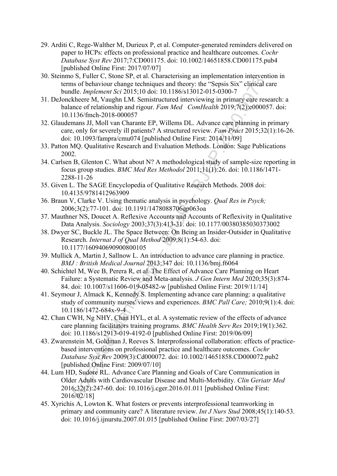- 29. Arditi C, Rege-Walther M, Durieux P, et al. Computer-generated reminders delivered on paper to HCPs: effects on professional practice and healthcare outcomes. *Cochr Database Syst Rev* 2017;7:CD001175. doi: 10.1002/14651858.CD001175.pub4 [published Online First: 2017/07/07]
- 30. Steinmo S, Fuller C, Stone SP, et al. Characterising an implementation intervention in terms of behaviour change techniques and theory: the "Sepsis Six" clinical care bundle. *Implement Sci* 2015;10 doi: 10.1186/s13012-015-0300-7
- 31. DeJonckheere M, Vaughn LM. Semistructured interviewing in primary care research: a balance of relationship and rigour. *Fam Med ComHealth* 2019;7(2):e000057. doi: 10.1136/fmch-2018-000057
- 32. Glaudemans JJ, Moll van Charante EP, Willems DL. Advance care planning in primary care, only for severely ill patients? A structured review. *Fam Pract* 2015;32(1):16-26. doi: 10.1093/fampra/cmu074 [published Online First: 2014/11/09]
- 33. Patton MQ. Qualitative Research and Evaluation Methods. London: Sage Publications 2002.
- 34. Carlsen B, Glenton C. What about N? A methodological study of sample-size reporting in focus group studies. *BMC Med Res Methodol* 2011;11(1):26. doi: 10.1186/1471- 2288-11-26
- 35. Given L. The SAGE Encyclopedia of Qualitative Research Methods. 2008 doi: 10.4135/9781412963909
- 36. Braun V, Clarke V. Using thematic analysis in psychology. *Qual Res in Psych;*  2006;3(2):77-101. doi: 10.1191/1478088706qp063oa
- 37. Mauthner NS, Doucet A. Reflexive Accounts and Accounts of Reflexivity in Qualitative Data Analysis. *Sociology* 2003;37(3):413-31. doi: 10.1177/00380385030373002
- 38. Dwyer SC, Buckle JL. The Space Between: On Being an Insider-Outsider in Qualitative Research. *Internat J of Qual Method* 2009;8(1):54-63. doi: 10.1177/160940690900800105
- 39. Mullick A, Martin J, Sallnow L. An introduction to advance care planning in practice. *BMJ : British Medical Journal* 2013;347 doi: 10.1136/bmj.f6064
- 40. Schichtel M, Wee B, Perera R, et al. The Effect of Advance Care Planning on Heart Failure: a Systematic Review and Meta-analysis. *J Gen Intern Med* 2020;35(3):874- 84. doi: 10.1007/s11606-019-05482-w [published Online First: 2019/11/14]
- 41. Seymour J, Almack K, Kennedy S. Implementing advance care planning: a qualitative study of community nurses' views and experiences. *BMC Pall Care;* 2010;9(1):4. doi: 10.1186/1472-684x-9-4
- 42. Chan CWH, Ng NHY, Chan HYL, et al. A systematic review of the effects of advance care planning facilitators training programs. *BMC Health Serv Res* 2019;19(1):362. doi: 10.1186/s12913-019-4192-0 [published Online First: 2019/06/09]
- os, runet C, solotes *D*; et al. Characterising an imperimentation intervention of S, runet C, solotes *D*; *PHemeral Characterising CD*, the "Sepsis Six" climical club-*Imperinent Sci* 2015;10 doi: 10.1186/s13012-015520. 43. Zwarenstein M, Goldman J, Reeves S. Interprofessional collaboration: effects of practicebased interventions on professional practice and healthcare outcomes. *Cochr Database Syst Rev* 2009(3):Cd000072. doi: 10.1002/14651858.CD000072.pub2 [published Online First: 2009/07/10]
- 44. Lum HD, Sudore RL. Advance Care Planning and Goals of Care Communication in Older Adults with Cardiovascular Disease and Multi-Morbidity. *Clin Geriatr Med* 2016;32(2):247-60. doi: 10.1016/j.cger.2016.01.011 [published Online First: 2016/02/18]
- 45. Xyrichis A, Lowton K. What fosters or prevents interprofessional teamworking in primary and community care? A literature review. *Int J Nurs Stud* 2008;45(1):140-53. doi: 10.1016/j.ijnurstu.2007.01.015 [published Online First: 2007/03/27]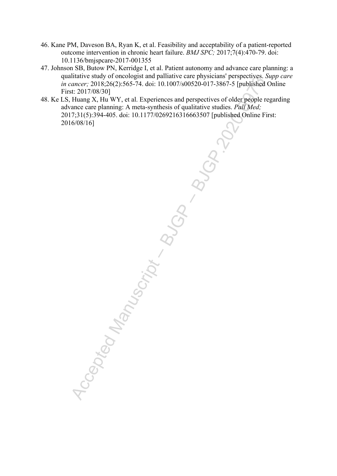- 46. Kane PM, Daveson BA, Ryan K, et al. Feasibility and acceptability of a patient-reported outcome intervention in chronic heart failure. *BMJ SPC;* 2017;7(4):470-79. doi: 10.1136/bmjspcare-2017-001355
- 47. Johnson SB, Butow PN, Kerridge I, et al. Patient autonomy and advance care planning: a qualitative study of oncologist and palliative care physicians' perspectives. *Supp care in cancer;* 2018;26(2):565-74. doi: 10.1007/s00520-017-3867-5 [published Online First: 2017/08/30]
- 48. Ke LS, Huang X, Hu WY, et al. Experiences and perspectives of older people regarding advance care planning: A meta-synthesis of qualitative studies. *Pall Med;*  2017;31(5):394-405. doi: 10.1177/0269216316663507 [published Online First: 2016/08/16]

manus status qui oncologist and paramete care physicals respectives.<br>
arcepted Manuscript – BJGP.2020.000250.4017.3867-5 published C<br>
Accepted Manuscript – BJGP.2020.000250.4017.3867-5 published C<br>
Huang X, Hu WY, et al. E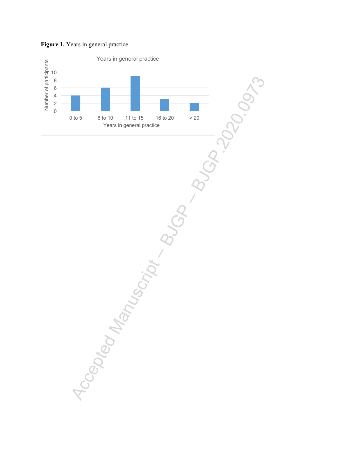

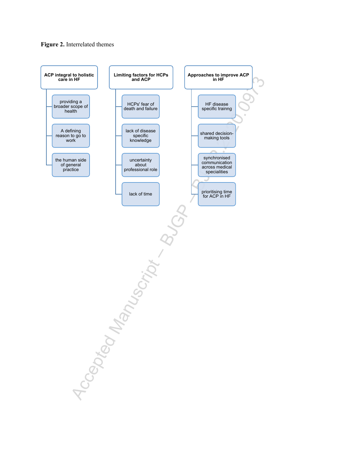